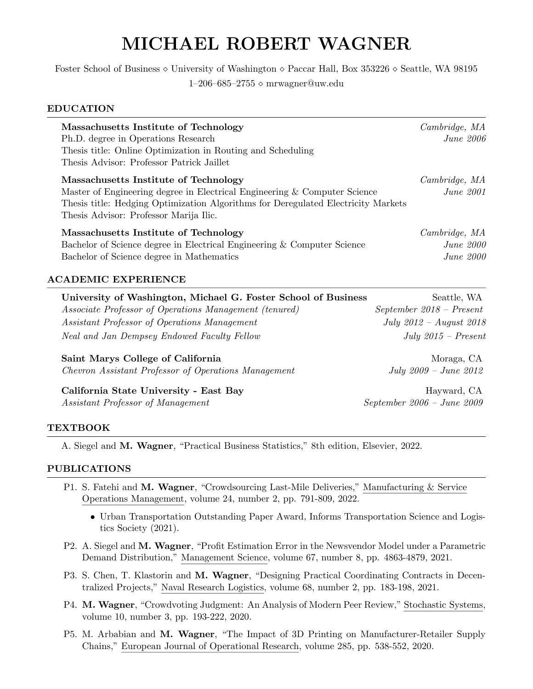# MICHAEL ROBERT WAGNER

Foster School of Business ⋄ University of Washington ⋄ Paccar Hall, Box 353226 ⋄ Seattle, WA 98195 1–206–685–2755 ⋄ mrwagner@uw.edu

### EDUCATION

| Massachusetts Institute of Technology<br>Ph.D. degree in Operations Research<br>Thesis title: Online Optimization in Routing and Scheduling<br>Thesis Advisor: Professor Patrick Jaillet                                                          | Cambridge, MA<br>$June\ 2006$                     |
|---------------------------------------------------------------------------------------------------------------------------------------------------------------------------------------------------------------------------------------------------|---------------------------------------------------|
| Massachusetts Institute of Technology<br>Master of Engineering degree in Electrical Engineering & Computer Science<br>Thesis title: Hedging Optimization Algorithms for Deregulated Electricity Markets<br>Thesis Advisor: Professor Marija Ilic. | Cambridge, MA<br><i>June 2001</i>                 |
| Massachusetts Institute of Technology<br>Bachelor of Science degree in Electrical Engineering & Computer Science<br>Bachelor of Science degree in Mathematics                                                                                     | Cambridge, MA<br><i>June 2000</i><br>$June\ 2000$ |
| <b>ACADEMIC EXPERIENCE</b><br>University of Washington, Michael G. Foster School of Business                                                                                                                                                      | Seattle, WA                                       |

| University of Washington, Michael G. Foster School of Dusiness | beattle, WA              |
|----------------------------------------------------------------|--------------------------|
| <i>Associate Professor of Operations Management (tenured)</i>  | September 2018 – Present |
| Assistant Professor of Operations Management                   | July 2012 – August 2018  |
| Neal and Jan Dempsey Endowed Faculty Fellow                    | $July 2015 - Present$    |
|                                                                |                          |

Saint Marys College of California Moraga, CA *Chevron Assistant Professor of Operations Management July 2009 – June 2012*

California State University - East Bay **Hayward, CA** Hayward, CA *Assistant Professor of Management September 2006 – June 2009*

# TEXTBOOK

A. Siegel and M. Wagner, "Practical Business Statistics," 8th edition, Elsevier, 2022.

# PUBLICATIONS

- P1. S. Fatehi and M. Wagner, "Crowdsourcing Last-Mile Deliveries," Manufacturing & Service Operations Management, volume 24, number 2, pp. 791-809, 2022.
	- *•* Urban Transportation Outstanding Paper Award, Informs Transportation Science and Logistics Society (2021).
- P2. A. Siegel and M. Wagner, "Profit Estimation Error in the Newsvendor Model under a Parametric Demand Distribution," Management Science, volume 67, number 8, pp. 4863-4879, 2021.
- P3. S. Chen, T. Klastorin and M. Wagner, "Designing Practical Coordinating Contracts in Decentralized Projects," Naval Research Logistics, volume 68, number 2, pp. 183-198, 2021.
- P4. M. Wagner, "Crowdvoting Judgment: An Analysis of Modern Peer Review," Stochastic Systems, volume 10, number 3, pp. 193-222, 2020.
- P5. M. Arbabian and M. Wagner, "The Impact of 3D Printing on Manufacturer-Retailer Supply Chains," European Journal of Operational Research, volume 285, pp. 538-552, 2020.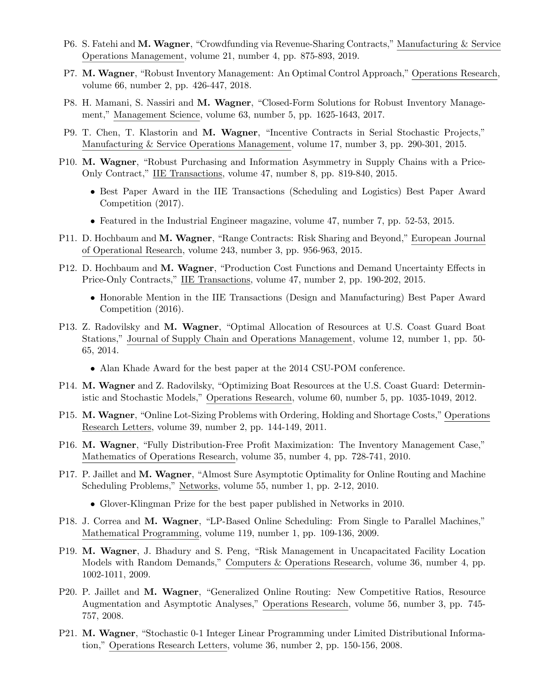- P6. S. Fatehi and M. Wagner, "Crowdfunding via Revenue-Sharing Contracts," Manufacturing & Service Operations Management, volume 21, number 4, pp. 875-893, 2019.
- P7. M. Wagner, "Robust Inventory Management: An Optimal Control Approach," Operations Research, volume 66, number 2, pp. 426-447, 2018.
- P8. H. Mamani, S. Nassiri and M. Wagner, "Closed-Form Solutions for Robust Inventory Management," Management Science, volume 63, number 5, pp. 1625-1643, 2017.
- P9. T. Chen, T. Klastorin and M. Wagner, "Incentive Contracts in Serial Stochastic Projects," Manufacturing & Service Operations Management, volume 17, number 3, pp. 290-301, 2015.
- P10. M. Wagner, "Robust Purchasing and Information Asymmetry in Supply Chains with a Price-Only Contract," IIE Transactions, volume 47, number 8, pp. 819-840, 2015.
	- Best Paper Award in the IIE Transactions (Scheduling and Logistics) Best Paper Award Competition (2017).
	- Featured in the Industrial Engineer magazine, volume 47, number 7, pp. 52-53, 2015.
- P11. D. Hochbaum and M. Wagner, "Range Contracts: Risk Sharing and Beyond," European Journal of Operational Research, volume 243, number 3, pp. 956-963, 2015.
- P12. D. Hochbaum and M. Wagner, "Production Cost Functions and Demand Uncertainty Effects in Price-Only Contracts," IIE Transactions, volume 47, number 2, pp. 190-202, 2015.
	- Honorable Mention in the IIE Transactions (Design and Manufacturing) Best Paper Award Competition (2016).
- P13. Z. Radovilsky and M. Wagner, "Optimal Allocation of Resources at U.S. Coast Guard Boat Stations," Journal of Supply Chain and Operations Management, volume 12, number 1, pp. 50- 65, 2014.
	- *•* Alan Khade Award for the best paper at the 2014 CSU-POM conference.
- P14. M. Wagner and Z. Radovilsky, "Optimizing Boat Resources at the U.S. Coast Guard: Deterministic and Stochastic Models," Operations Research, volume 60, number 5, pp. 1035-1049, 2012.
- P15. M. Wagner, "Online Lot-Sizing Problems with Ordering, Holding and Shortage Costs," Operations Research Letters, volume 39, number 2, pp. 144-149, 2011.
- P16. M. Wagner, "Fully Distribution-Free Profit Maximization: The Inventory Management Case," Mathematics of Operations Research, volume 35, number 4, pp. 728-741, 2010.
- P17. P. Jaillet and M. Wagner, "Almost Sure Asymptotic Optimality for Online Routing and Machine Scheduling Problems," Networks, volume 55, number 1, pp. 2-12, 2010.
	- *•* Glover-Klingman Prize for the best paper published in Networks in 2010.
- P18. J. Correa and M. Wagner, "LP-Based Online Scheduling: From Single to Parallel Machines," Mathematical Programming, volume 119, number 1, pp. 109-136, 2009.
- P19. M. Wagner, J. Bhadury and S. Peng, "Risk Management in Uncapacitated Facility Location Models with Random Demands," Computers & Operations Research, volume 36, number 4, pp. 1002-1011, 2009.
- P20. P. Jaillet and M. Wagner, "Generalized Online Routing: New Competitive Ratios, Resource Augmentation and Asymptotic Analyses," Operations Research, volume 56, number 3, pp. 745- 757, 2008.
- P21. M. Wagner, "Stochastic 0-1 Integer Linear Programming under Limited Distributional Information," Operations Research Letters, volume 36, number 2, pp. 150-156, 2008.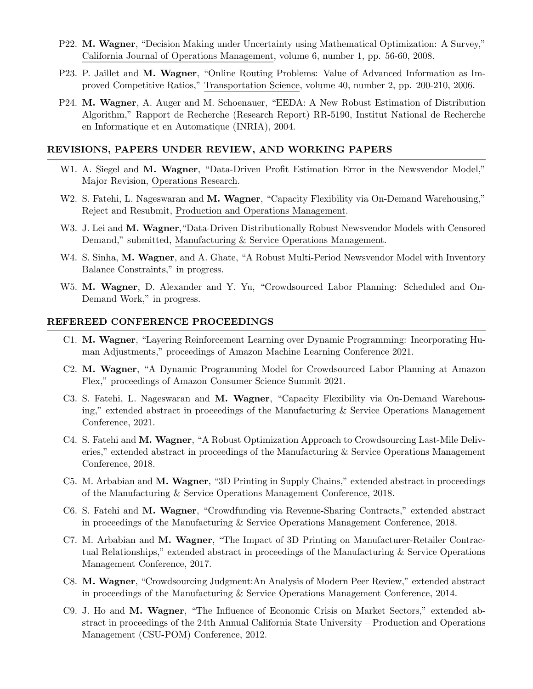- P22. M. Wagner, "Decision Making under Uncertainty using Mathematical Optimization: A Survey," California Journal of Operations Management, volume 6, number 1, pp. 56-60, 2008.
- P23. P. Jaillet and M. Wagner, "Online Routing Problems: Value of Advanced Information as Improved Competitive Ratios," Transportation Science, volume 40, number 2, pp. 200-210, 2006.
- P24. M. Wagner, A. Auger and M. Schoenauer, "EEDA: A New Robust Estimation of Distribution Algorithm," Rapport de Recherche (Research Report) RR-5190, Institut National de Recherche en Informatique et en Automatique (INRIA), 2004.

### REVISIONS, PAPERS UNDER REVIEW, AND WORKING PAPERS

- W1. A. Siegel and M. Wagner, "Data-Driven Profit Estimation Error in the Newsvendor Model," Major Revision, Operations Research.
- W2. S. Fatehi, L. Nageswaran and M. Wagner, "Capacity Flexibility via On-Demand Warehousing," Reject and Resubmit, Production and Operations Management.
- W3. J. Lei and M. Wagner, "Data-Driven Distributionally Robust Newsvendor Models with Censored Demand," submitted, Manufacturing & Service Operations Management.
- W4. S. Sinha, M. Wagner, and A. Ghate, "A Robust Multi-Period Newsvendor Model with Inventory Balance Constraints," in progress.
- W5. M. Wagner, D. Alexander and Y. Yu, "Crowdsourced Labor Planning: Scheduled and On-Demand Work," in progress.

### REFEREED CONFERENCE PROCEEDINGS

- C1. M. Wagner, "Layering Reinforcement Learning over Dynamic Programming: Incorporating Human Adjustments," proceedings of Amazon Machine Learning Conference 2021.
- C2. M. Wagner, "A Dynamic Programming Model for Crowdsourced Labor Planning at Amazon Flex," proceedings of Amazon Consumer Science Summit 2021.
- C3. S. Fatehi, L. Nageswaran and M. Wagner, "Capacity Flexibility via On-Demand Warehousing," extended abstract in proceedings of the Manufacturing & Service Operations Management Conference, 2021.
- C4. S. Fatehi and M. Wagner, "A Robust Optimization Approach to Crowdsourcing Last-Mile Deliveries," extended abstract in proceedings of the Manufacturing & Service Operations Management Conference, 2018.
- C5. M. Arbabian and M. Wagner, "3D Printing in Supply Chains," extended abstract in proceedings of the Manufacturing & Service Operations Management Conference, 2018.
- C6. S. Fatehi and M. Wagner, "Crowdfunding via Revenue-Sharing Contracts," extended abstract in proceedings of the Manufacturing & Service Operations Management Conference, 2018.
- C7. M. Arbabian and M. Wagner, "The Impact of 3D Printing on Manufacturer-Retailer Contractual Relationships," extended abstract in proceedings of the Manufacturing & Service Operations Management Conference, 2017.
- C8. M. Wagner, "Crowdsourcing Judgment:An Analysis of Modern Peer Review," extended abstract in proceedings of the Manufacturing & Service Operations Management Conference, 2014.
- C9. J. Ho and M. Wagner, "The Influence of Economic Crisis on Market Sectors," extended abstract in proceedings of the 24th Annual California State University – Production and Operations Management (CSU-POM) Conference, 2012.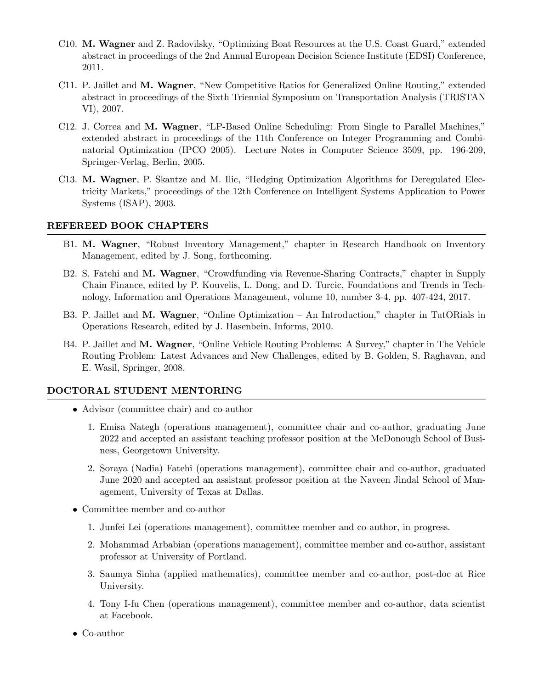- C10. M. Wagner and Z. Radovilsky, "Optimizing Boat Resources at the U.S. Coast Guard," extended abstract in proceedings of the 2nd Annual European Decision Science Institute (EDSI) Conference, 2011.
- C11. P. Jaillet and M. Wagner, "New Competitive Ratios for Generalized Online Routing," extended abstract in proceedings of the Sixth Triennial Symposium on Transportation Analysis (TRISTAN VI), 2007.
- C12. J. Correa and M. Wagner, "LP-Based Online Scheduling: From Single to Parallel Machines," extended abstract in proceedings of the 11th Conference on Integer Programming and Combinatorial Optimization (IPCO 2005). Lecture Notes in Computer Science 3509, pp. 196-209, Springer-Verlag, Berlin, 2005.
- C13. M. Wagner, P. Skantze and M. Ilic, "Hedging Optimization Algorithms for Deregulated Electricity Markets," proceedings of the 12th Conference on Intelligent Systems Application to Power Systems (ISAP), 2003.

### REFEREED BOOK CHAPTERS

- B1. M. Wagner, "Robust Inventory Management," chapter in Research Handbook on Inventory Management, edited by J. Song, forthcoming.
- B2. S. Fatehi and M. Wagner, "Crowdfunding via Revenue-Sharing Contracts," chapter in Supply Chain Finance, edited by P. Kouvelis, L. Dong, and D. Turcic, Foundations and Trends in Technology, Information and Operations Management, volume 10, number 3-4, pp. 407-424, 2017.
- B3. P. Jaillet and M. Wagner, "Online Optimization An Introduction," chapter in TutORials in Operations Research, edited by J. Hasenbein, Informs, 2010.
- B4. P. Jaillet and M. Wagner, "Online Vehicle Routing Problems: A Survey," chapter in The Vehicle Routing Problem: Latest Advances and New Challenges, edited by B. Golden, S. Raghavan, and E. Wasil, Springer, 2008.

### DOCTORAL STUDENT MENTORING

- Advisor (committee chair) and co-author
	- 1. Emisa Nategh (operations management), committee chair and co-author, graduating June 2022 and accepted an assistant teaching professor position at the McDonough School of Business, Georgetown University.
	- 2. Soraya (Nadia) Fatehi (operations management), committee chair and co-author, graduated June 2020 and accepted an assistant professor position at the Naveen Jindal School of Management, University of Texas at Dallas.
- Committee member and co-author
	- 1. Junfei Lei (operations management), committee member and co-author, in progress.
	- 2. Mohammad Arbabian (operations management), committee member and co-author, assistant professor at University of Portland.
	- 3. Saumya Sinha (applied mathematics), committee member and co-author, post-doc at Rice University.
	- 4. Tony I-fu Chen (operations management), committee member and co-author, data scientist at Facebook.
- *•* Co-author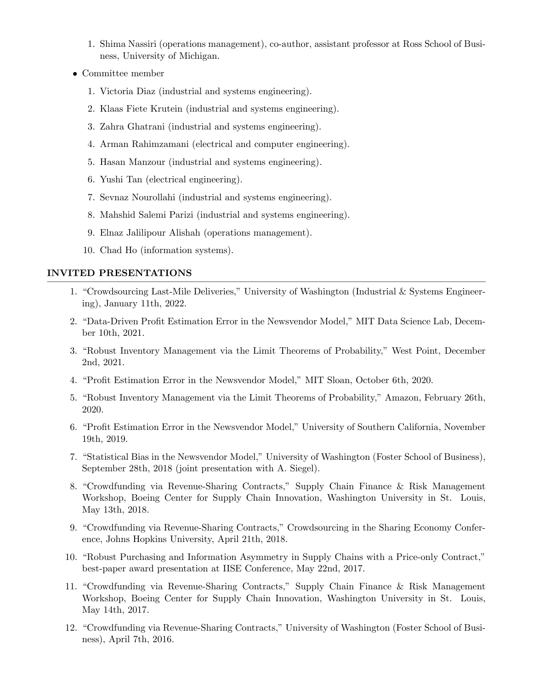- 1. Shima Nassiri (operations management), co-author, assistant professor at Ross School of Business, University of Michigan.
- *•* Committee member
	- 1. Victoria Diaz (industrial and systems engineering).
	- 2. Klaas Fiete Krutein (industrial and systems engineering).
	- 3. Zahra Ghatrani (industrial and systems engineering).
	- 4. Arman Rahimzamani (electrical and computer engineering).
	- 5. Hasan Manzour (industrial and systems engineering).
	- 6. Yushi Tan (electrical engineering).
	- 7. Sevnaz Nourollahi (industrial and systems engineering).
	- 8. Mahshid Salemi Parizi (industrial and systems engineering).
	- 9. Elnaz Jalilipour Alishah (operations management).
	- 10. Chad Ho (information systems).

### INVITED PRESENTATIONS

- 1. "Crowdsourcing Last-Mile Deliveries," University of Washington (Industrial & Systems Engineering), January 11th, 2022.
- 2. "Data-Driven Profit Estimation Error in the Newsvendor Model," MIT Data Science Lab, December 10th, 2021.
- 3. "Robust Inventory Management via the Limit Theorems of Probability," West Point, December 2nd, 2021.
- 4. "Profit Estimation Error in the Newsvendor Model," MIT Sloan, October 6th, 2020.
- 5. "Robust Inventory Management via the Limit Theorems of Probability," Amazon, February 26th, 2020.
- 6. "Profit Estimation Error in the Newsvendor Model," University of Southern California, November 19th, 2019.
- 7. "Statistical Bias in the Newsvendor Model," University of Washington (Foster School of Business), September 28th, 2018 (joint presentation with A. Siegel).
- 8. "Crowdfunding via Revenue-Sharing Contracts," Supply Chain Finance & Risk Management Workshop, Boeing Center for Supply Chain Innovation, Washington University in St. Louis, May 13th, 2018.
- 9. "Crowdfunding via Revenue-Sharing Contracts," Crowdsourcing in the Sharing Economy Conference, Johns Hopkins University, April 21th, 2018.
- 10. "Robust Purchasing and Information Asymmetry in Supply Chains with a Price-only Contract," best-paper award presentation at IISE Conference, May 22nd, 2017.
- 11. "Crowdfunding via Revenue-Sharing Contracts," Supply Chain Finance & Risk Management Workshop, Boeing Center for Supply Chain Innovation, Washington University in St. Louis, May 14th, 2017.
- 12. "Crowdfunding via Revenue-Sharing Contracts," University of Washington (Foster School of Business), April 7th, 2016.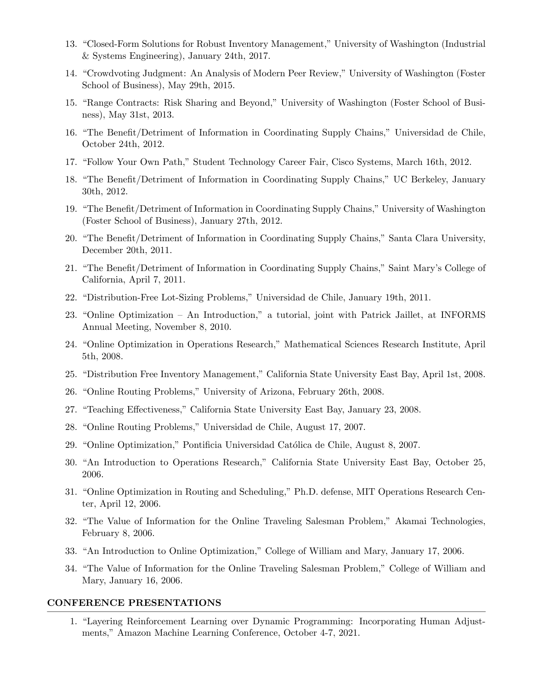- 13. "Closed-Form Solutions for Robust Inventory Management," University of Washington (Industrial & Systems Engineering), January 24th, 2017.
- 14. "Crowdvoting Judgment: An Analysis of Modern Peer Review," University of Washington (Foster School of Business), May 29th, 2015.
- 15. "Range Contracts: Risk Sharing and Beyond," University of Washington (Foster School of Business), May 31st, 2013.
- 16. "The Benefit/Detriment of Information in Coordinating Supply Chains," Universidad de Chile, October 24th, 2012.
- 17. "Follow Your Own Path," Student Technology Career Fair, Cisco Systems, March 16th, 2012.
- 18. "The Benefit/Detriment of Information in Coordinating Supply Chains," UC Berkeley, January 30th, 2012.
- 19. "The Benefit/Detriment of Information in Coordinating Supply Chains," University of Washington (Foster School of Business), January 27th, 2012.
- 20. "The Benefit/Detriment of Information in Coordinating Supply Chains," Santa Clara University, December 20th, 2011.
- 21. "The Benefit/Detriment of Information in Coordinating Supply Chains," Saint Mary's College of California, April 7, 2011.
- 22. "Distribution-Free Lot-Sizing Problems," Universidad de Chile, January 19th, 2011.
- 23. "Online Optimization An Introduction," a tutorial, joint with Patrick Jaillet, at INFORMS Annual Meeting, November 8, 2010.
- 24. "Online Optimization in Operations Research," Mathematical Sciences Research Institute, April 5th, 2008.
- 25. "Distribution Free Inventory Management," California State University East Bay, April 1st, 2008.
- 26. "Online Routing Problems," University of Arizona, February 26th, 2008.
- 27. "Teaching Effectiveness," California State University East Bay, January 23, 2008.
- 28. "Online Routing Problems," Universidad de Chile, August 17, 2007.
- 29. "Online Optimization," Pontificia Universidad Católica de Chile, August 8, 2007.
- 30. "An Introduction to Operations Research," California State University East Bay, October 25, 2006.
- 31. "Online Optimization in Routing and Scheduling," Ph.D. defense, MIT Operations Research Center, April 12, 2006.
- 32. "The Value of Information for the Online Traveling Salesman Problem," Akamai Technologies, February 8, 2006.
- 33. "An Introduction to Online Optimization," College of William and Mary, January 17, 2006.
- 34. "The Value of Information for the Online Traveling Salesman Problem," College of William and Mary, January 16, 2006.

### CONFERENCE PRESENTATIONS

1. "Layering Reinforcement Learning over Dynamic Programming: Incorporating Human Adjustments," Amazon Machine Learning Conference, October 4-7, 2021.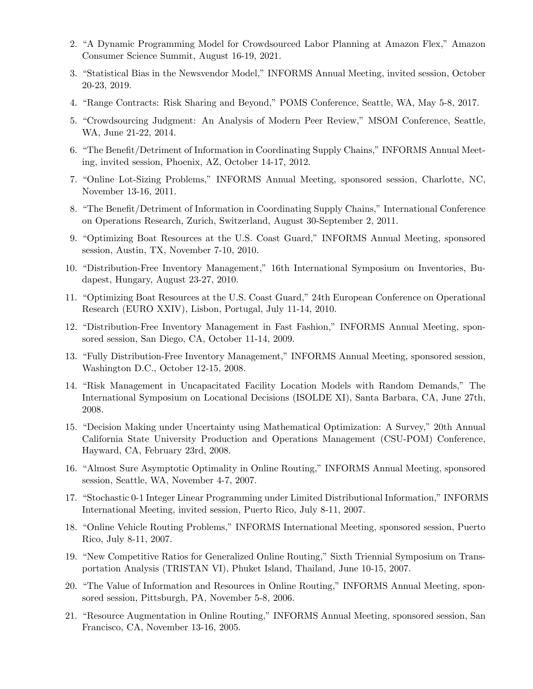- 2. "A Dynamic Programming Model for Crowdsourced Labor Planning at Amazon Flex," Amazon Consumer Science Summit, August 16-19, 2021.
- 3. "Statistical Bias in the Newsvendor Model," INFORMS Annual Meeting, invited session, October 20-23, 2019.
- 4. "Range Contracts: Risk Sharing and Beyond," POMS Conference, Seattle, WA, May 5-8, 2017.
- 5. "Crowdsourcing Judgment: An Analysis of Modern Peer Review," MSOM Conference, Seattle, WA, June 21-22, 2014.
- 6. "The Benefit/Detriment of Information in Coordinating Supply Chains," INFORMS Annual Meeting, invited session, Phoenix, AZ, October 14-17, 2012.
- 7. "Online Lot-Sizing Problems," INFORMS Annual Meeting, sponsored session, Charlotte, NC, November 13-16, 2011.
- 8. "The Benefit/Detriment of Information in Coordinating Supply Chains," International Conference on Operations Research, Zurich, Switzerland, August 30-September 2, 2011.
- 9. "Optimizing Boat Resources at the U.S. Coast Guard," INFORMS Annual Meeting, sponsored session, Austin, TX, November 7-10, 2010.
- 10. "Distribution-Free Inventory Management," 16th International Symposium on Inventories, Budapest, Hungary, August 23-27, 2010.
- 11. "Optimizing Boat Resources at the U.S. Coast Guard," 24th European Conference on Operational Research (EURO XXIV), Lisbon, Portugal, July 11-14, 2010.
- 12. "Distribution-Free Inventory Management in Fast Fashion," INFORMS Annual Meeting, sponsored session, San Diego, CA, October 11-14, 2009.
- 13. "Fully Distribution-Free Inventory Management," INFORMS Annual Meeting, sponsored session, Washington D.C., October 12-15, 2008.
- 14. "Risk Management in Uncapacitated Facility Location Models with Random Demands," The International Symposium on Locational Decisions (ISOLDE XI), Santa Barbara, CA, June 27th, 2008.
- 15. "Decision Making under Uncertainty using Mathematical Optimization: A Survey," 20th Annual California State University Production and Operations Management (CSU-POM) Conference, Hayward, CA, February 23rd, 2008.
- 16. "Almost Sure Asymptotic Optimality in Online Routing," INFORMS Annual Meeting, sponsored session, Seattle, WA, November 4-7, 2007.
- 17. "Stochastic 0-1 Integer Linear Programming under Limited Distributional Information," INFORMS International Meeting, invited session, Puerto Rico, July 8-11, 2007.
- 18. "Online Vehicle Routing Problems," INFORMS International Meeting, sponsored session, Puerto Rico, July 8-11, 2007.
- 19. "New Competitive Ratios for Generalized Online Routing," Sixth Triennial Symposium on Transportation Analysis (TRISTAN VI), Phuket Island, Thailand, June 10-15, 2007.
- 20. "The Value of Information and Resources in Online Routing," INFORMS Annual Meeting, sponsored session, Pittsburgh, PA, November 5-8, 2006.
- 21. "Resource Augmentation in Online Routing," INFORMS Annual Meeting, sponsored session, San Francisco, CA, November 13-16, 2005.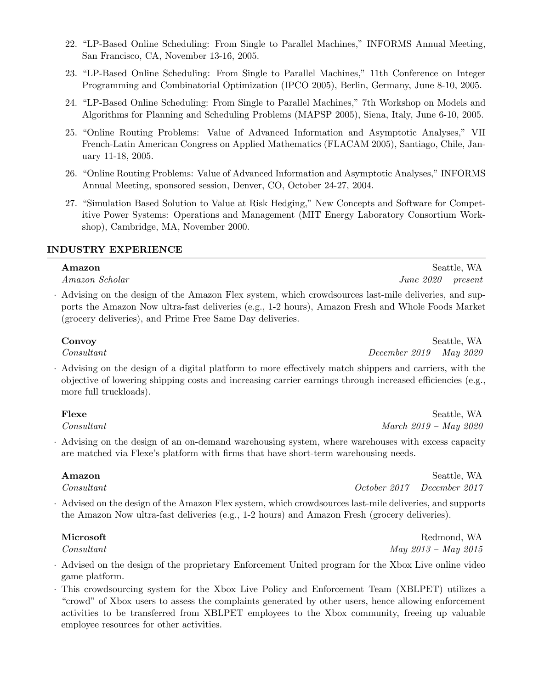- 22. "LP-Based Online Scheduling: From Single to Parallel Machines," INFORMS Annual Meeting, San Francisco, CA, November 13-16, 2005.
- 23. "LP-Based Online Scheduling: From Single to Parallel Machines," 11th Conference on Integer Programming and Combinatorial Optimization (IPCO 2005), Berlin, Germany, June 8-10, 2005.
- 24. "LP-Based Online Scheduling: From Single to Parallel Machines," 7th Workshop on Models and Algorithms for Planning and Scheduling Problems (MAPSP 2005), Siena, Italy, June 6-10, 2005.
- 25. "Online Routing Problems: Value of Advanced Information and Asymptotic Analyses," VII French-Latin American Congress on Applied Mathematics (FLACAM 2005), Santiago, Chile, January 11-18, 2005.
- 26. "Online Routing Problems: Value of Advanced Information and Asymptotic Analyses," INFORMS Annual Meeting, sponsored session, Denver, CO, October 24-27, 2004.
- 27. "Simulation Based Solution to Value at Risk Hedging," New Concepts and Software for Competitive Power Systems: Operations and Management (MIT Energy Laboratory Consortium Workshop), Cambridge, MA, November 2000.

### INDUSTRY EXPERIENCE

*·* Advising on the design of the Amazon Flex system, which crowdsources last-mile deliveries, and supports the Amazon Now ultra-fast deliveries (e.g., 1-2 hours), Amazon Fresh and Whole Foods Market (grocery deliveries), and Prime Free Same Day deliveries.

Convoy Seattle, WA *Consultant December 2019 – May 2020*

*·* Advising on the design of a digital platform to more effectively match shippers and carriers, with the objective of lowering shipping costs and increasing carrier earnings through increased efficiencies (e.g., more full truckloads).

Flexe Seattle, WA *Consultant March 2019 – May 2020*

*·* Advising on the design of an on-demand warehousing system, where warehouses with excess capacity are matched via Flexe's platform with firms that have short-term warehousing needs.

*Consultant October 2017 – December 2017*

*·* Advised on the design of the Amazon Flex system, which crowdsources last-mile deliveries, and supports the Amazon Now ultra-fast deliveries (e.g., 1-2 hours) and Amazon Fresh (grocery deliveries).

# Microsoft Redmond, WA

*Consultant May 2013 – May 2015*

- *·* Advised on the design of the proprietary Enforcement United program for the Xbox Live online video game platform.
- This crowdsourcing system for the Xbox Live Policy and Enforcement Team (XBLPET) utilizes a "crowd" of Xbox users to assess the complaints generated by other users, hence allowing enforcement activities to be transferred from XBLPET employees to the Xbox community, freeing up valuable employee resources for other activities.

Amazon Seattle, WA *Amazon Scholar June 2020 – present*

# Amazon Seattle, WA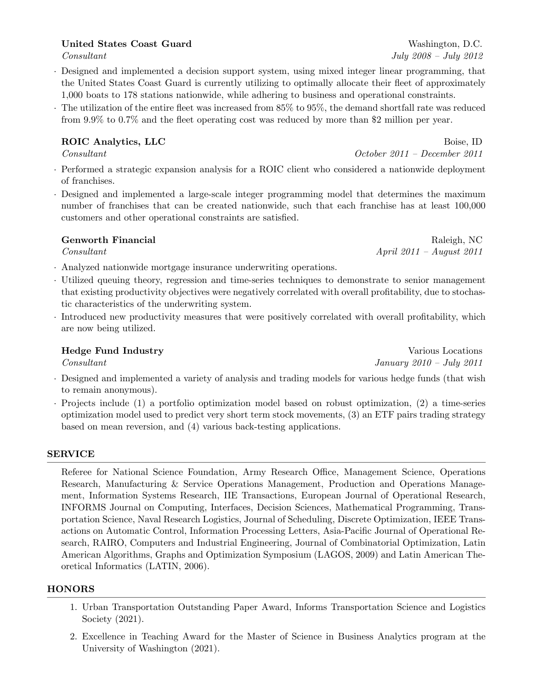# United States Coast Guard Washington, D.C.

- *·* Designed and implemented a decision support system, using mixed integer linear programming, that the United States Coast Guard is currently utilizing to optimally allocate their fleet of approximately 1,000 boats to 178 stations nationwide, while adhering to business and operational constraints.
- The utilization of the entire fleet was increased from  $85\%$  to  $95\%$ , the demand shortfall rate was reduced from 9.9% to 0.7% and the fleet operating cost was reduced by more than \$2 million per year.

# ROIC Analytics, LLC Boise, ID

*Consultant October 2011 – December 2011*

- *·* Performed a strategic expansion analysis for a ROIC client who considered a nationwide deployment of franchises.
- *·* Designed and implemented a large-scale integer programming model that determines the maximum number of franchises that can be created nationwide, such that each franchise has at least 100,000 customers and other operational constraints are satisfied.

- *·* Analyzed nationwide mortgage insurance underwriting operations.
- *·* Utilized queuing theory, regression and time-series techniques to demonstrate to senior management that existing productivity objectives were negatively correlated with overall profitability, due to stochastic characteristics of the underwriting system.
- *·* Introduced new productivity measures that were positively correlated with overall profitability, which are now being utilized.

# Hedge Fund Industry and The Contract of the United States of the Various Locations of the Various Locations of the Various Locations of the Various Locations of the Various Locations of the Various Locations of the Various

- *Consultant January 2010 – July 2011*
- *·* Designed and implemented a variety of analysis and trading models for various hedge funds (that wish to remain anonymous).
- *·* Projects include (1) a portfolio optimization model based on robust optimization, (2) a time-series optimization model used to predict very short term stock movements, (3) an ETF pairs trading strategy based on mean reversion, and (4) various back-testing applications.

# SERVICE

Referee for National Science Foundation, Army Research Office, Management Science, Operations Research, Manufacturing & Service Operations Management, Production and Operations Management, Information Systems Research, IIE Transactions, European Journal of Operational Research, INFORMS Journal on Computing, Interfaces, Decision Sciences, Mathematical Programming, Transportation Science, Naval Research Logistics, Journal of Scheduling, Discrete Optimization, IEEE Transactions on Automatic Control, Information Processing Letters, Asia-Pacific Journal of Operational Research, RAIRO, Computers and Industrial Engineering, Journal of Combinatorial Optimization, Latin American Algorithms, Graphs and Optimization Symposium (LAGOS, 2009) and Latin American Theoretical Informatics (LATIN, 2006).

# HONORS

- 1. Urban Transportation Outstanding Paper Award, Informs Transportation Science and Logistics Society (2021).
- 2. Excellence in Teaching Award for the Master of Science in Business Analytics program at the University of Washington (2021).

*Consultant July 2008 – July 2012*

Genworth Financial and the set of the set of the Raleigh, NC *Consultant April 2011 – August 2011*